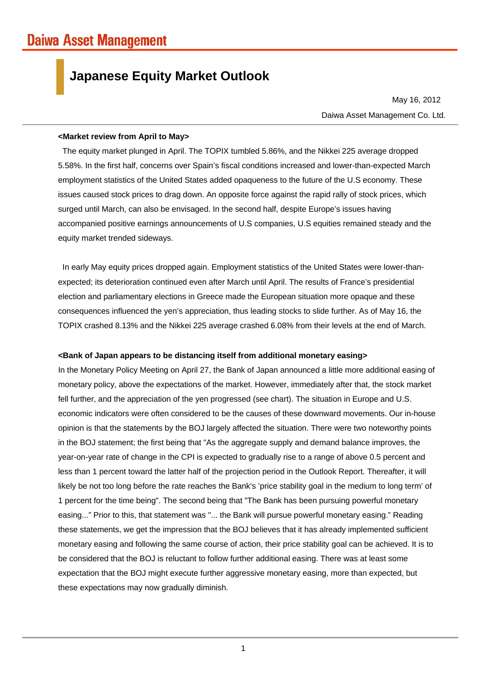# **Japanese Equity Market Outlook**

Daiwa Asset Management Co. Ltd. May 16, 2012

#### **<Market review from April to May>**

The equity market plunged in April. The TOPIX tumbled 5.86%, and the Nikkei 225 average dropped 5.58%. In the first half, concerns over Spain's fiscal conditions increased and lower-than-expected March employment statistics of the United States added opaqueness to the future of the U.S economy. These issues caused stock prices to drag down. An opposite force against the rapid rally of stock prices, which surged until March, can also be envisaged. In the second half, despite Europe's issues having accompanied positive earnings announcements of U.S companies, U.S equities remained steady and the equity market trended sideways.

In early May equity prices dropped again. Employment statistics of the United States were lower-thanexpected; its deterioration continued even after March until April. The results of France's presidential election and parliamentary elections in Greece made the European situation more opaque and these consequences influenced the yen's appreciation, thus leading stocks to slide further. As of May 16, the TOPIX crashed 8.13% and the Nikkei 225 average crashed 6.08% from their levels at the end of March.

## **<Bank of Japan appears to be distancing itself from additional monetary easing>**

In the Monetary Policy Meeting on April 27, the Bank of Japan announced a little more additional easing of monetary policy, above the expectations of the market. However, immediately after that, the stock market fell further, and the appreciation of the yen progressed (see chart). The situation in Europe and U.S. economic indicators were often considered to be the causes of these downward movements. Our in-house opinion is that the statements by the BOJ largely affected the situation. There were two noteworthy points in the BOJ statement; the first being that "As the aggregate supply and demand balance improves, the year-on-year rate of change in the CPI is expected to gradually rise to a range of above 0.5 percent and less than 1 percent toward the latter half of the projection period in the Outlook Report. Thereafter, it will likely be not too long before the rate reaches the Bank's 'price stability goal in the medium to long term' of 1 percent for the time being". The second being that "The Bank has been pursuing powerful monetary easing..." Prior to this, that statement was "... the Bank will pursue powerful monetary easing." Reading these statements, we get the impression that the BOJ believes that it has already implemented sufficient monetary easing and following the same course of action, their price stability goal can be achieved. It is to be considered that the BOJ is reluctant to follow further additional easing. There was at least some expectation that the BOJ might execute further aggressive monetary easing, more than expected, but these expectations may now gradually diminish.